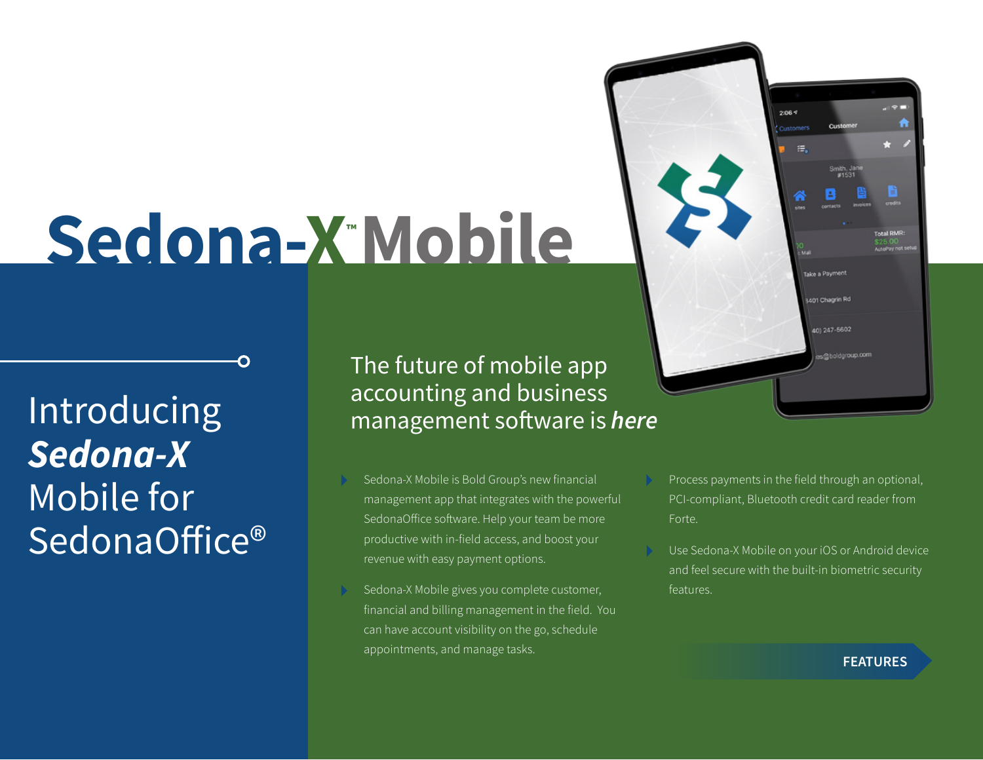# **Sedona-X™ Mobile**

Introducing *Sedona-X* Mobile for SedonaOffice® The future of mobile app accounting and business management software is *here*

- Sedona-X Mobile is Bold Group's new financial management app that integrates with the powerful SedonaOffice software. Help your team be more productive with in-field access, and boost your revenue with easy payment options.
- Sedona-X Mobile gives you complete customer, financial and billing management in the field. You can have account visibility on the go, schedule appointments, and manage tasks.
- Process payments in the field through an optional, PCI-compliant, Bluetooth credit card reader from Forte.

 $2:06<sup>q</sup>$ 

法。

Take a Payment

3401 Chagrin Rd

401247-5602

Use Sedona-X Mobile on your iOS or Android device and feel secure with the built-in biometric security features.

#### **FEATURES**

val RMR